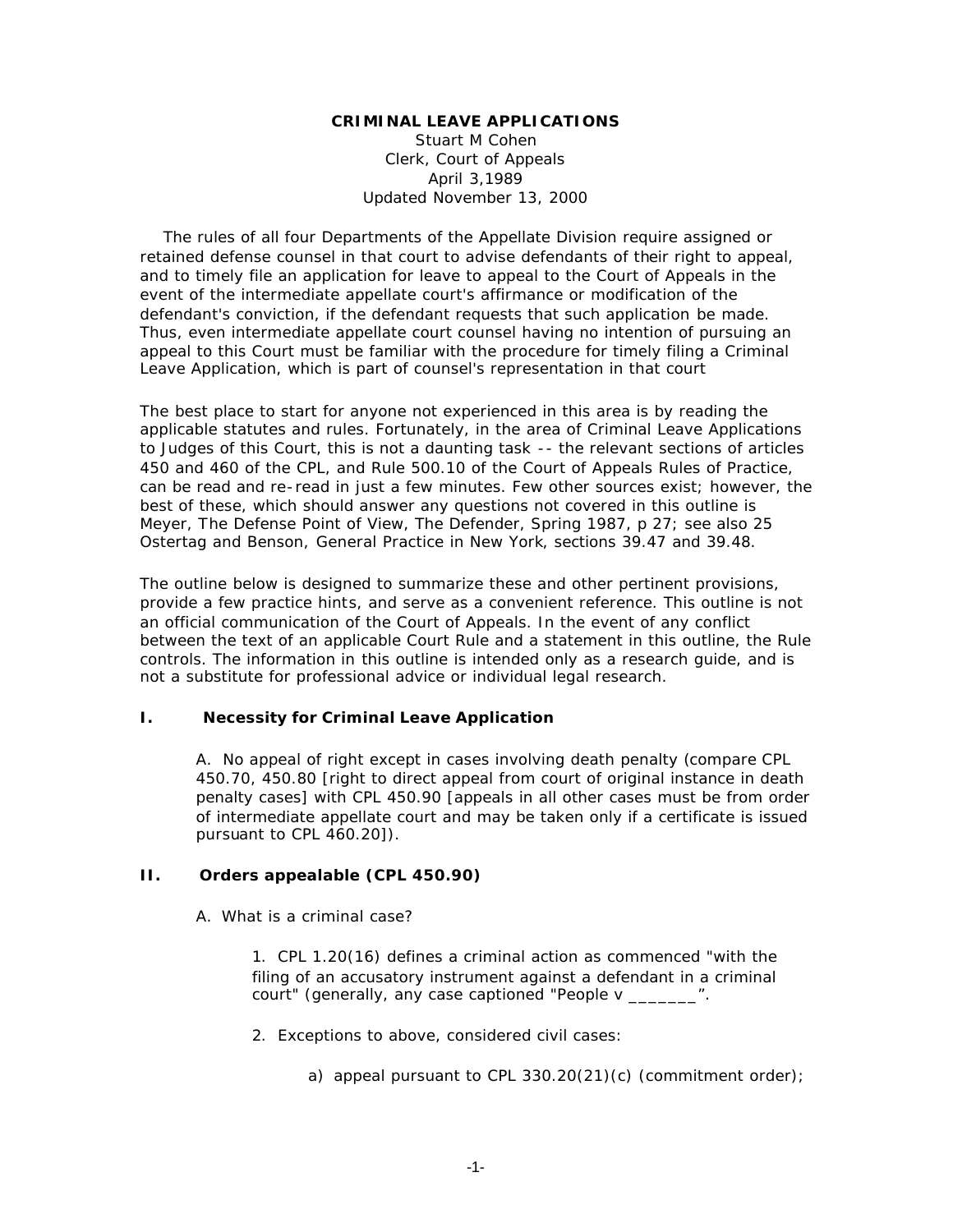#### **CRIMINAL LEAVE APPLICATIONS**

Stuart M Cohen Clerk, Court of Appeals April 3,1989 Updated November 13, 2000

 The rules of all four Departments of the Appellate Division require assigned or retained defense counsel in that court to advise defendants of their right to appeal, and to timely file an application for leave to appeal to the Court of Appeals in the event of the intermediate appellate court's affirmance or modification of the defendant's conviction, if the defendant requests that such application be made. Thus, even intermediate appellate court counsel having no intention of pursuing an appeal to this Court must be familiar with the procedure for timely filing a Criminal Leave Application, which is part of counsel's representation in that court

The best place to start for anyone not experienced in this area is by reading the applicable statutes and rules. Fortunately, in the area of Criminal Leave Applications to Judges of this Court, this is not a daunting task -- the relevant sections of articles 450 and 460 of the CPL, and Rule 500.10 of the Court of Appeals Rules of Practice, can be read and re-read in just a few minutes. Few other sources exist; however, the best of these, which should answer any questions not covered in this outline is Meyer, *The Defense Point of View*, The Defender, Spring 1987, p 27; see also 25 Ostertag and Benson, *General Practice in New York*, sections 39.47 and 39.48.

The outline below is designed to summarize these and other pertinent provisions, provide a few practice hints, and serve as a convenient reference. This outline is not an official communication of the Court of Appeals. In the event of any conflict between the text of an applicable Court Rule and a statement in this outline, the Rule controls. The information in this outline is intended only as a research guide, and is not a substitute for professional advice or individual legal research.

### **I. Necessity for Criminal Leave Application**

A. No appeal of right except in cases involving death penalty (compare CPL 450.70, 450.80 [right to direct appeal from court of original instance in death penalty cases] with CPL 450.90 [appeals in all other cases must be from order of intermediate appellate court and may be taken only if a certificate is issued pursuant to CPL 460.20]).

### **II. Orders appealable (CPL 450.90)**

A. What is a criminal case?

1. CPL 1.20(16) defines a criminal action as commenced "with the filing of an accusatory instrument against a defendant in a criminal court" (generally, any case captioned "People v \_\_\_\_\_\_\_".

- 2. Exceptions to above, considered civil cases:
	- a) appeal pursuant to CPL 330.20 $(21)(c)$  (commitment order);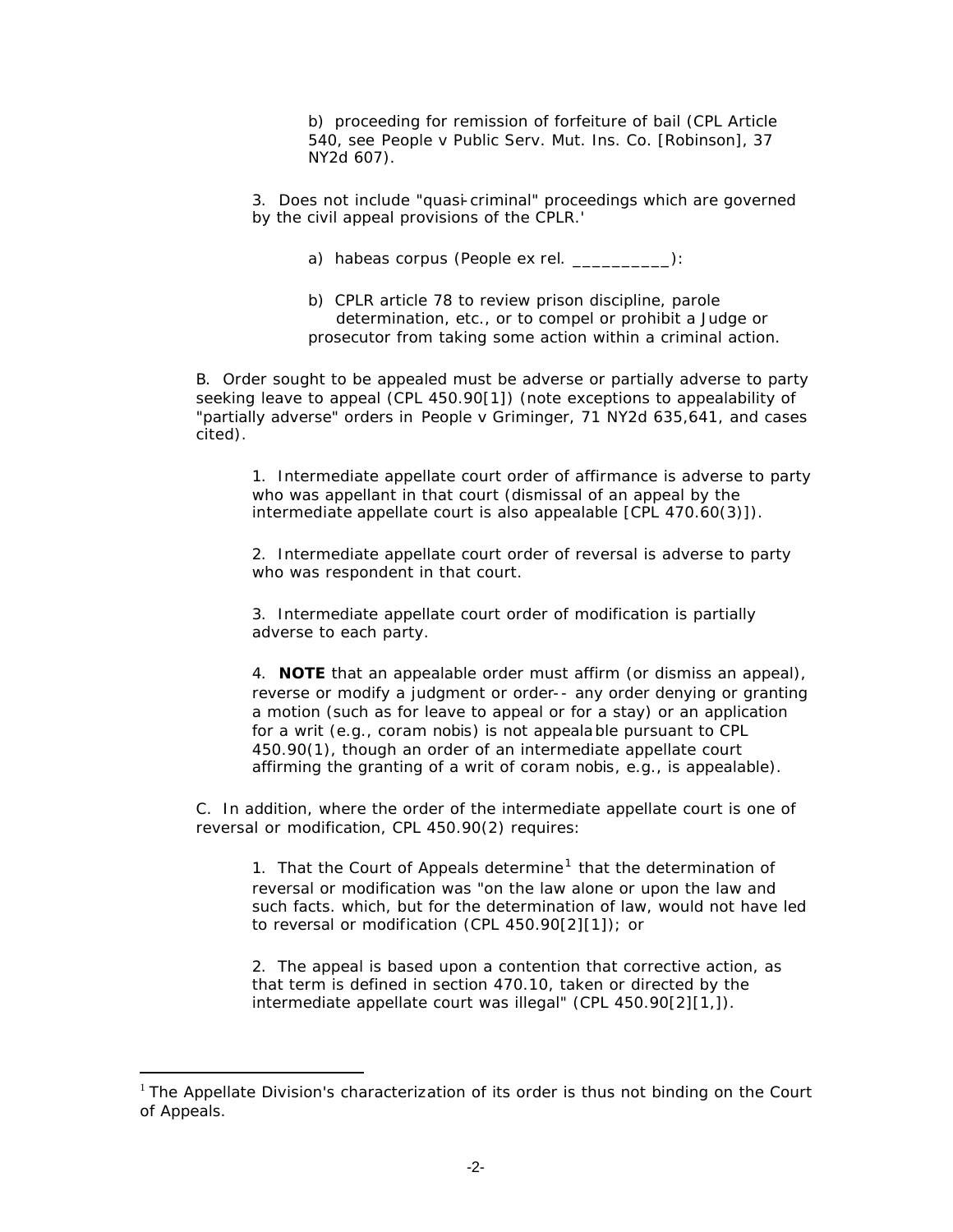b) proceeding for remission of forfeiture of bail (CPL Article 540, see *People v Public Serv. Mut. Ins. Co. [Robinson],* 37 NY2d 607).

- 3. Does not include "quasi-criminal" proceedings which are governed by the civil appeal provisions of the CPLR.'
	- a) *habeas corpus* (People *ex rel*. \_\_\_\_\_\_\_\_\_\_):
	- b) CPLR article 78 to review prison discipline, parole determination, etc., or to compel or prohibit a Judge or prosecutor from taking some action within a criminal action.

B. Order sought to be appealed must be adverse or partially adverse to party seeking leave to appeal (CPL 450.90[1]) (note exceptions to appealability of "partially adverse" orders in *People v Griminger*, 71 NY2d 635,641, and cases cited).

1. Intermediate appellate court order of affirmance is adverse to party who was appellant in that court (dismissal of an appeal by the intermediate appellate court is also appealable [CPL 470.60(3)]).

2. Intermediate appellate court order of reversal is adverse to party who was respondent in that court.

3. Intermediate appellate court order of modification is partially adverse to each party.

4. **NOTE** that an appealable order must affirm (or dismiss an appeal), reverse or modify a judgment or order-- any order denying or granting a motion (such as for leave to appeal or for a stay) or an application for a writ (e.g., *coram nobis*) is not appealable pursuant to CPL 450.90(1), though an order of an intermediate appellate court affirming the granting of a writ of *coram nobis*, e.g., is appealable).

C. In addition, where the order of the intermediate appellate court is one of reversal or modification, CPL 450.90(2) requires:

1. That the Court of Appeals determine<sup>1</sup> that the determination of reversal or modification was "on the law alone or upon the law and such facts. which, but for the determination of law, would not have led to reversal or modification (CPL 450.90[2][1]); or

2. The appeal is based upon a contention that corrective action, as that term is defined in section 470.10, taken or directed by the intermediate appellate court was illegal" (CPL 450.90[2][1,]).

 $\overline{a}$ 

 $1$  The Appellate Division's characterization of its order is thus not binding on the Court of Appeals.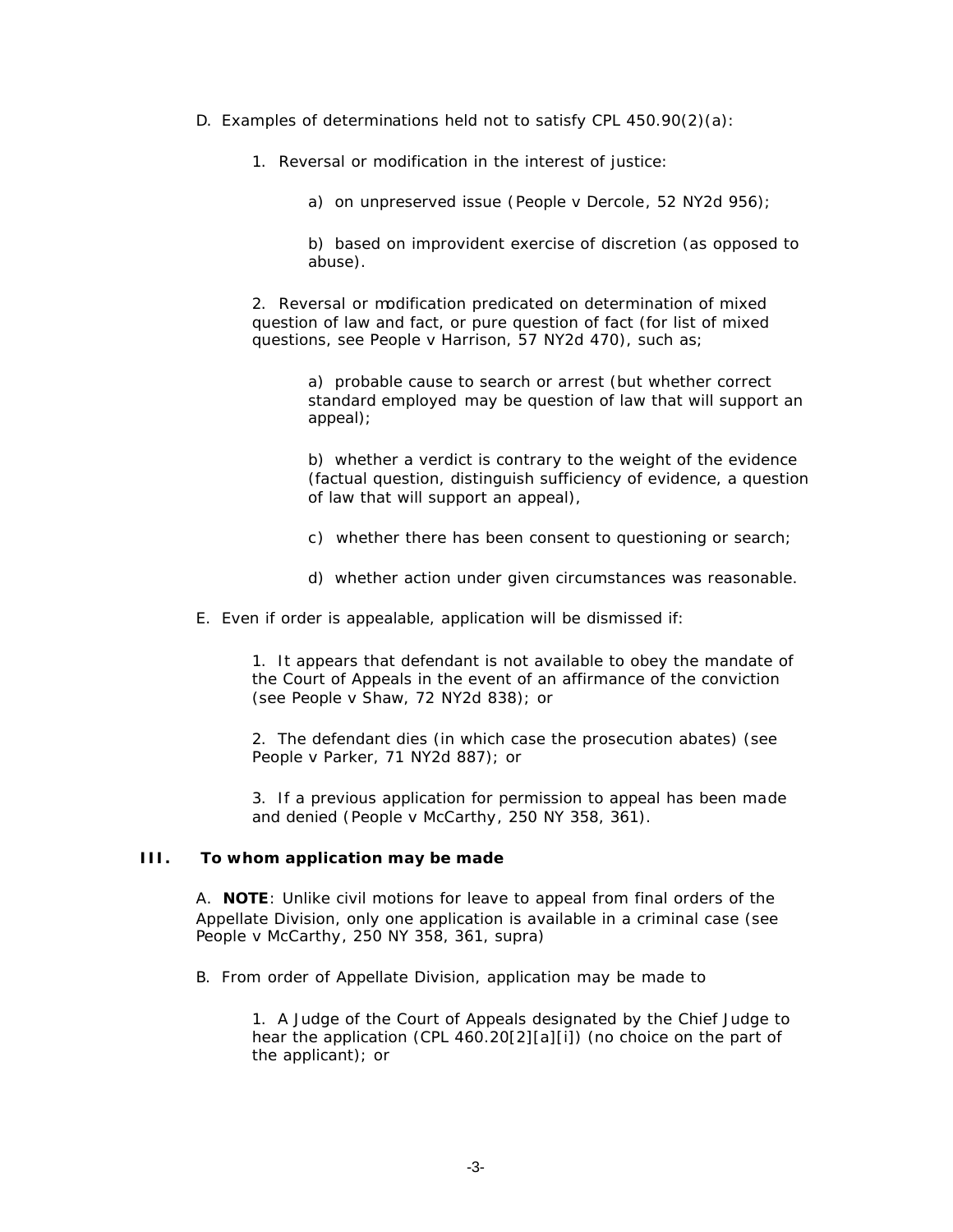- D. Examples of determinations held not to satisfy CPL 450.90(2)(a):
	- 1. Reversal or modification in the interest of justice:
		- a) on unpreserved issue (*People v Dercole*, 52 NY2d 956);
		- b) based on improvident exercise of discretion (as opposed to abuse).
	- 2. Reversal or modification predicated on determination of mixed question of law and fact, or pure question of fact (for list of mixed questions, see *People v Harrison*, 57 NY2d 470), such as;
		- a) probable cause to search or arrest (but whether correct standard employed may be question of law that will support an appeal);
		- b) whether a verdict is contrary to the weight of the evidence (factual question, distinguish sufficiency of evidence, a question of law that will support an appeal),
		- c) whether there has been consent to questioning or search;
		- d) whether action under given circumstances was reasonable.
- E. Even if order is appealable, application will be dismissed if:
	- 1. It appears that defendant is not available to obey the mandate of the Court of Appeals in the event of an affirmance of the conviction (see *People v Shaw*, 72 NY2d 838); or
	- 2. The defendant dies (in which case the prosecution abates) (see *People v Parker*, 71 NY2d 887); or
	- 3. If a previous application for permission to appeal has been made and denied (*People v McCarthy*, 250 NY 358, 361).

#### **III. To whom application may be made**

A. **NOTE**: Unlike civil motions for leave to appeal from final orders of the Appellate Division, only one application is available in a criminal case (see *People v McCarthy*, 250 NY 358, 361, *supra*)

- B. From order of Appellate Division, application may be made to
	- 1. A Judge of the Court of Appeals designated by the Chief Judge to hear the application (CPL 460.20[2][a][i]) (no choice on the part of the applicant); or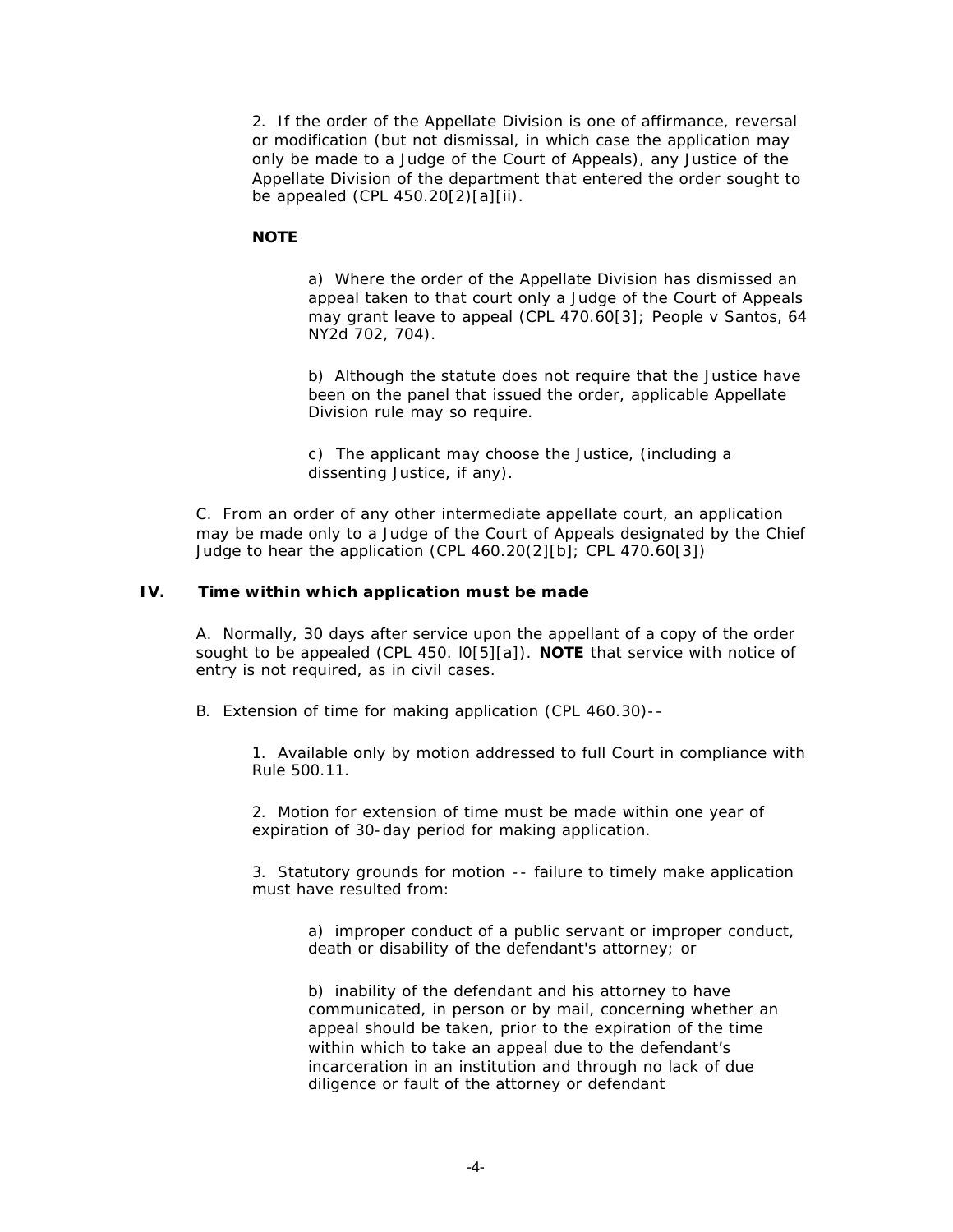2. If the order of the Appellate Division is one of affirmance, reversal or modification (but not dismissal, in which case the application may only be made to a Judge of the Court of Appeals), any Justice of the Appellate Division of the department that entered the order sought to be appealed (CPL 450.20[2)[a][ii).

## **NOTE**

a) Where the order of the Appellate Division has dismissed an appeal taken to that court only a Judge of the Court of Appeals may grant leave to appeal (CPL 470.60[3*]; People v Santos*, 64 NY2d 702, 704).

b) Although the statute does not require that the Justice have been on the panel that issued the order, applicable Appellate Division rule may so require.

c) The applicant may choose the Justice, (including a dissenting Justice, if any).

C. From an order of any other intermediate appellate court, an application may be made only to a Judge of the Court of Appeals designated by the Chief Judge to hear the application (CPL 460.20(2][b]; CPL 470.60[3])

### **IV. Time within which application must be made**

A. Normally, 30 days after service upon the appellant of a copy of the order sought to be appealed (CPL 450. l0[5][a]). **NOTE** that service with notice of entry is not required, as in civil cases.

B. Extension of time for making application (CPL 460.30)--

1. Available only by motion addressed to full Court in compliance with Rule 500.11.

2. Motion for extension of time must be made within one year of expiration of 30-day period for making application.

3. Statutory grounds for motion -- failure to timely make application must have resulted from:

> a) improper conduct of a public servant or improper conduct, death or disability of the defendant's attorney; or

b) inability of the defendant and his attorney to have communicated, in person or by mail, concerning whether an appeal should be taken, prior to the expiration of the time within which to take an appeal due to the defendant's incarceration in an institution and through no lack of due diligence or fault of the attorney or defendant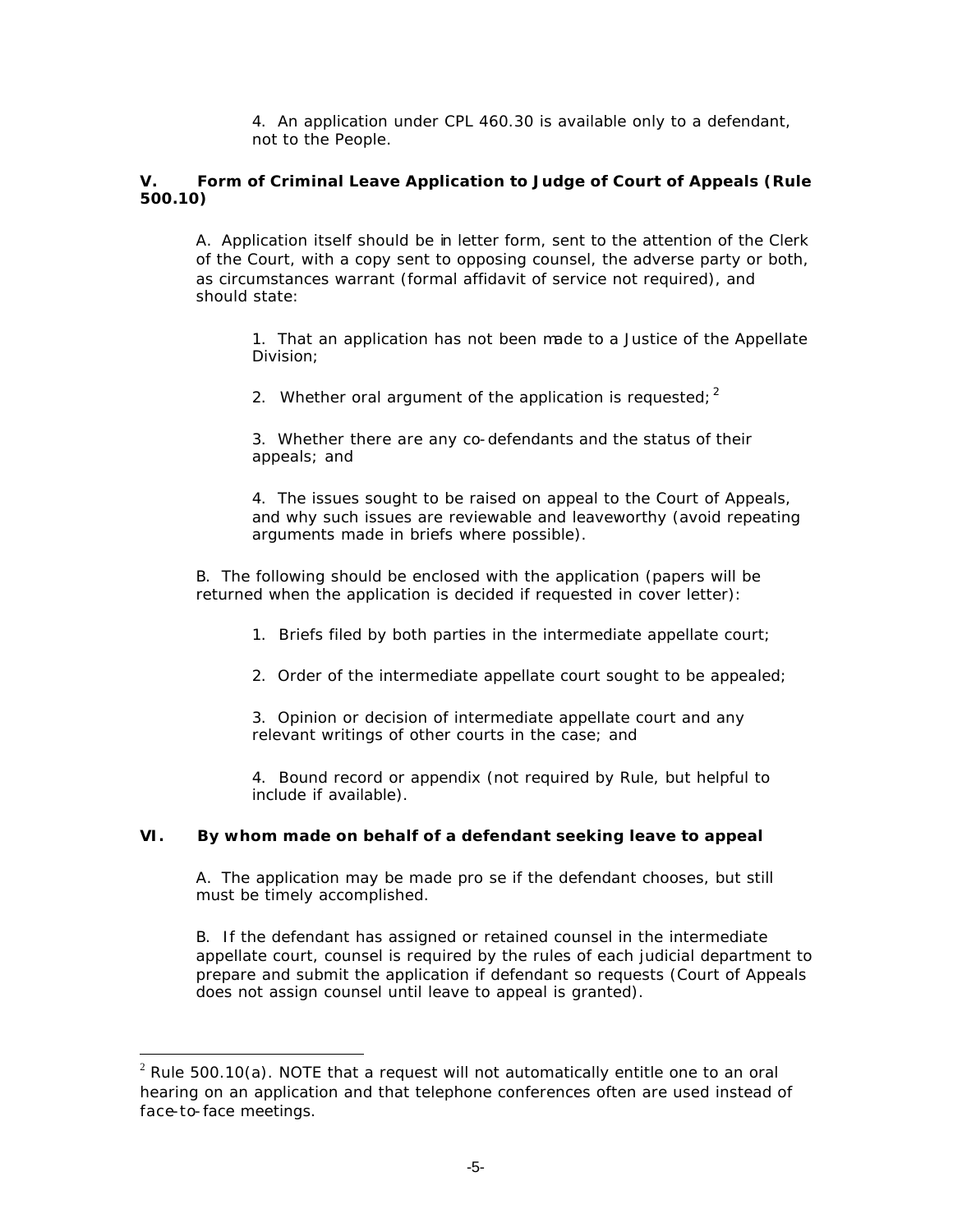4. An application under CPL 460.30 is available only to a defendant, not to the People.

## **V. Form of Criminal Leave Application to Judge of Court of Appeals (Rule 500.10)**

A. Application itself should be in letter form, sent to the attention of the Clerk of the Court, with a copy sent to opposing counsel, the adverse party or both, as circumstances warrant (formal affidavit of service not required), and should state:

1. That an application has not been made to a Justice of the Appellate Division;

2. Whether oral argument of the application is requested;  $2^2$ 

3. Whether there are any co-defendants and the status of their appeals; and

4. The issues sought to be raised on appeal to the Court of Appeals, and why such issues are reviewable and leaveworthy (avoid repeating arguments made in briefs where possible).

B. The following should be enclosed with the application (papers will be returned when the application is decided if requested in cover letter):

- 1. Briefs filed by both parties in the intermediate appellate court;
- 2. Order of the intermediate appellate court sought to be appealed;

3. Opinion or decision of intermediate appellate court and any relevant writings of other courts in the case; and

4. Bound record or appendix (not required by Rule, but helpful to include if available).

### **VI. By whom made on behalf of a defendant seeking leave to appeal**

A. The application may be made pro se if the defendant chooses, but still must be timely accomplished.

B. If the defendant has assigned or retained counsel in the intermediate appellate court, counsel is required by the rules of each judicial department to prepare and submit the application if defendant so requests (Court of Appeals does not assign counsel until leave to appeal is granted).

 $\overline{a}$ 

 $2$  Rule 500.10(a). NOTE that a request will not automatically entitle one to an oral hearing on an application and that telephone conferences often are used instead of face-to-face meetings.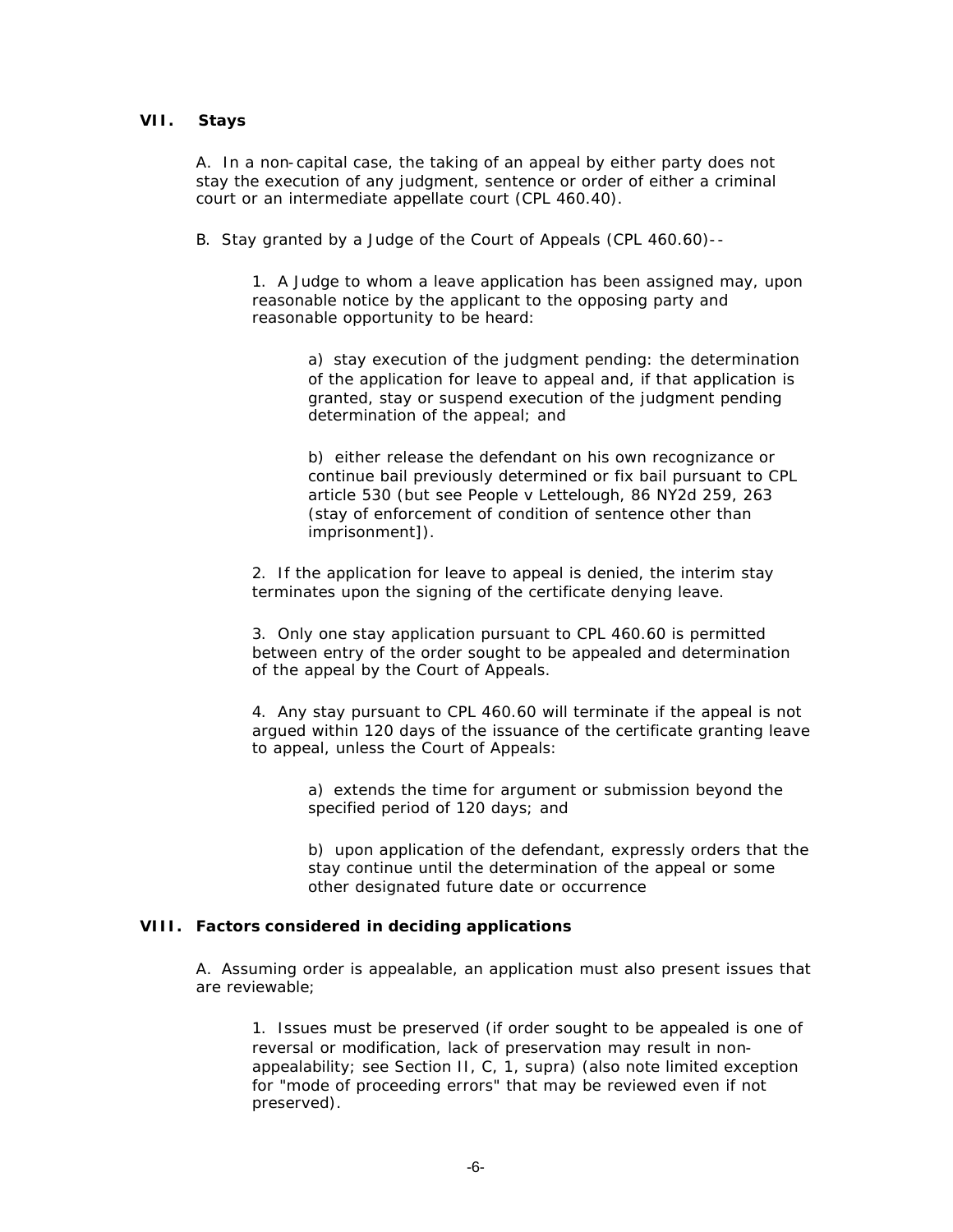## **VII. Stays**

A. In a non-capital case, the taking of an appeal by either party does not stay the execution of any judgment, sentence or order of either a criminal court or an intermediate appellate court (CPL 460.40).

B. Stay granted by a Judge of the Court of Appeals (CPL 460.60)--

1. A Judge to whom a leave application has been assigned may, upon reasonable notice by the applicant to the opposing party and reasonable opportunity to be heard:

a) stay execution of the judgment pending: the determination of the application for leave to appeal and, if that application is granted, stay or suspend execution of the judgment pending determination of the appeal; and

b) either release the defendant on his own recognizance or continue bail previously determined or fix bail pursuant to CPL article 530 (but see *People v Lettelough*, 86 NY2d 259, 263 (stay of enforcement of condition of sentence other than imprisonment]).

2. If the application for leave to appeal is denied, the interim stay terminates upon the signing of the certificate denying leave.

3. Only one stay application pursuant to CPL 460.60 is permitted between entry of the order sought to be appealed and determination of the appeal by the Court of Appeals.

4. Any stay pursuant to CPL 460.60 will terminate if the appeal is not argued within 120 days of the issuance of the certificate granting leave to appeal, unless the Court of Appeals:

> a) extends the time for argument or submission beyond the specified period of 120 days; and

b) upon application of the defendant, expressly orders that the stay continue until the determination of the appeal or some other designated future date or occurrence

### **VIII. Factors considered in deciding applications**

A. Assuming order is appealable, an application must also present issues that are reviewable;

1. Issues must be preserved (if order sought to be appealed is one of reversal or modification, lack of preservation may result in nonappealability; see Section II, C, 1, *supra*) (also note limited exception for "mode of proceeding errors" that may be reviewed even if not preserved).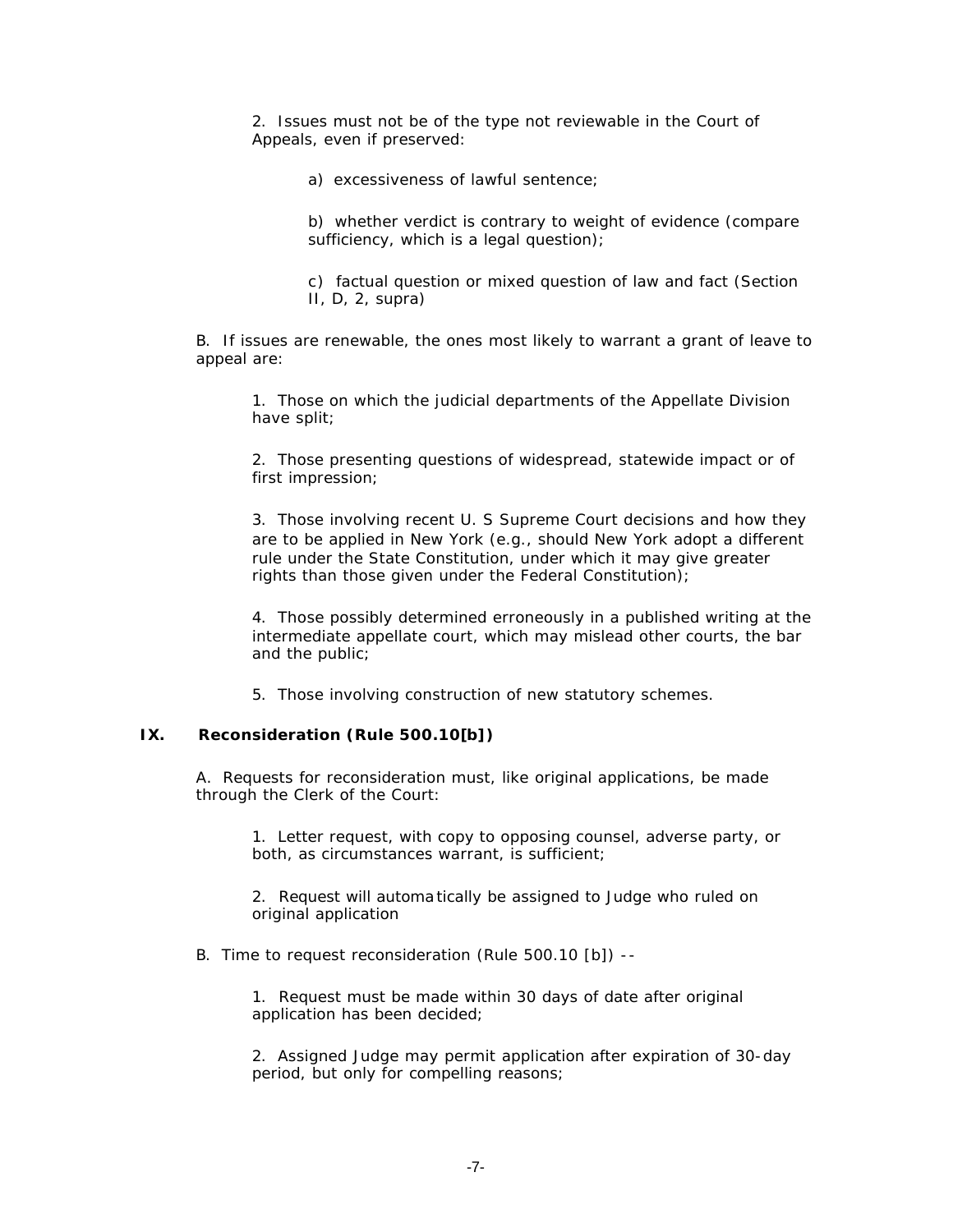2. Issues must not be of the type not reviewable in the Court of Appeals, even if preserved:

a) excessiveness of lawful sentence;

b) whether verdict is contrary to weight of evidence (compare sufficiency, which is a legal question);

c) factual question or mixed question of law and fact (Section II, D, 2, *supra*)

B. If issues are renewable, the ones most likely to warrant a grant of leave to appeal are:

1. Those on which the judicial departments of the Appellate Division have split;

2. Those presenting questions of widespread, statewide impact or of first impression;

3. Those involving recent U. S Supreme Court decisions and how they are to be applied in New York (e.g., should New York adopt a different rule under the State Constitution, under which it may give greater rights than those given under the Federal Constitution);

4. Those possibly determined erroneously in a published writing at the intermediate appellate court, which may mislead other courts, the bar and the public;

5. Those involving construction of new statutory schemes.

## **IX. Reconsideration (Rule 500.10[b])**

A. Requests for reconsideration must, like original applications, be made through the Clerk of the Court:

1. Letter request, with copy to opposing counsel, adverse party, or both, as circumstances warrant, is sufficient;

2. Request will automa tically be assigned to Judge who ruled on original application

B. Time to request reconsideration (Rule 500.10 [b]) --

1. Request must be made within 30 days of date after original application has been decided;

2. Assigned Judge may permit application after expiration of 30-day period, but only for compelling reasons;